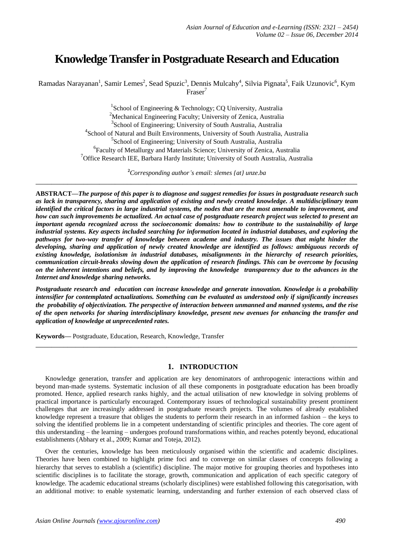# **Knowledge Transfer in Postgraduate Research and Education**

Ramadas Narayanan<sup>1</sup>, Samir Lemes<sup>2</sup>, Sead Spuzic<sup>3</sup>, Dennis Mulcahy<sup>4</sup>, Silvia Pignata<sup>5</sup>, Faik Uzunovic<sup>6</sup>, Kym Fraser<sup>7</sup>

> <sup>1</sup>School of Engineering & Technology; CQ University, Australia Mechanical Engineering Faculty; University of Zenica, Australia School of Engineering; University of South Australia, Australia School of Natural and Built Environments, University of South Australia, Australia School of Engineering; University of South Australia, Australia Faculty of Metallurgy and Materials Science; University of Zenica, Australia <sup>7</sup>Office Research IEE, Barbara Hardy Institute; University of South Australia, Australia

**<sup>2</sup>***Corresponding author's email: slemes {at} unze.ba* **\_\_\_\_\_\_\_\_\_\_\_\_\_\_\_\_\_\_\_\_\_\_\_\_\_\_\_\_\_\_\_\_\_\_\_\_\_\_\_\_\_\_\_\_\_\_\_\_\_\_\_\_\_\_\_\_\_\_\_\_\_\_\_\_\_\_\_\_\_\_\_\_\_\_\_\_\_\_\_\_\_**

**ABSTRACT—***The purpose of this paper is to diagnose and suggest remedies for issues in postgraduate research such as lack in transparency, sharing and application of existing and newly created knowledge. A multidisciplinary team identified the critical factors in large industrial systems, the nodes that are the most amenable to improvement, and how can such improvements be actualized. An actual case of postgraduate research project was selected to present an important agenda recognized across the socioeconomic domains: how to contribute to the sustainability of large industrial systems. Key aspects included searching for information located in industrial databases, and exploring the pathways for two-way transfer of knowledge between academe and industry. The issues that might hinder the developing, sharing and application of newly created knowledge are identified as follows: ambiguous records of existing knowledge, isolationism in industrial databases, misalignments in the hierarchy of research priorities, communication circuit-breaks slowing down the application of research findings. This can be overcome by focusing on the inherent intentions and beliefs, and by improving the knowledge transparency due to the advances in the Internet and knowledge sharing networks.*

*Postgraduate research and education can increase knowledge and generate innovation. Knowledge is a probability intensifier for contemplated actualizations. Something can be evaluated as understood only if significantly increases the probability of objectivization. The perspective of interaction between unmanned and manned systems, and the rise of the open networks for sharing interdisciplinary knowledge, present new avenues for enhancing the transfer and application of knowledge at unprecedented rates.*

**\_\_\_\_\_\_\_\_\_\_\_\_\_\_\_\_\_\_\_\_\_\_\_\_\_\_\_\_\_\_\_\_\_\_\_\_\_\_\_\_\_\_\_\_\_\_\_\_\_\_\_\_\_\_\_\_\_\_\_\_\_\_\_\_\_\_\_\_\_\_\_\_\_\_\_\_\_\_\_\_\_**

**Keywords—** Postgraduate, Education, Research, Knowledge, Transfer

## **1. INTRODUCTION**

Knowledge generation, transfer and application are key denominators of anthropogenic interactions within and beyond man-made systems. Systematic inclusion of all these components in postgraduate education has been broadly promoted. Hence, applied research ranks highly, and the actual utilisation of new knowledge in solving problems of practical importance is particularly encouraged. Contemporary issues of technological sustainability present prominent challenges that are increasingly addressed in postgraduate research projects. The volumes of already established knowledge represent a treasure that obliges the students to perform their research in an informed fashion – the keys to solving the identified problems lie in a competent understanding of scientific principles and theories. The core agent of this understanding – the learning – undergoes profound transformations within, and reaches potently beyond, educational establishments (Abhary et al., 2009; Kumar and Toteja, 2012).

Over the centuries, knowledge has been meticulously organised within the scientific and academic disciplines. Theories have been combined to highlight prime foci and to converge on similar classes of concepts following a hierarchy that serves to establish a (scientific) discipline. The major motive for grouping theories and hypotheses into scientific disciplines is to facilitate the storage, growth, communication and application of each specific category of knowledge. The academic educational streams (scholarly disciplines) were established following this categorisation, with an additional motive: to enable systematic learning, understanding and further extension of each observed class of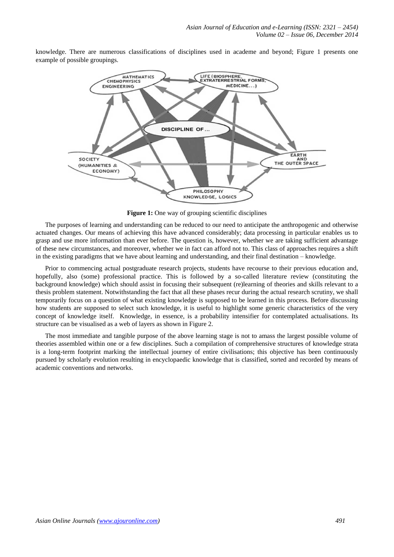knowledge. There are numerous classifications of disciplines used in academe and beyond; Figure 1 presents one example of possible groupings.



Figure 1: One way of grouping scientific disciplines

The purposes of learning and understanding can be reduced to our need to anticipate the anthropogenic and otherwise actuated changes. Our means of achieving this have advanced considerably; data processing in particular enables us to grasp and use more information than ever before. The question is, however, whether we are taking sufficient advantage of these new circumstances, and moreover, whether we in fact can afford not to. This class of approaches requires a shift in the existing paradigms that we have about learning and understanding, and their final destination – knowledge.

Prior to commencing actual postgraduate research projects, students have recourse to their previous education and, hopefully, also (some) professional practice. This is followed by a so-called literature review (constituting the background knowledge) which should assist in focusing their subsequent (re)learning of theories and skills relevant to a thesis problem statement. Notwithstanding the fact that all these phases recur during the actual research scrutiny, we shall temporarily focus on a question of what existing knowledge is supposed to be learned in this process. Before discussing how students are supposed to select such knowledge, it is useful to highlight some generic characteristics of the very concept of knowledge itself. Knowledge, in essence, is a probability intensifier for contemplated actualisations. Its structure can be visualised as a web of layers as shown in Figure 2.

The most immediate and tangible purpose of the above learning stage is not to amass the largest possible volume of theories assembled within one or a few disciplines. Such a compilation of comprehensive structures of knowledge strata is a long-term footprint marking the intellectual journey of entire civilisations; this objective has been continuously pursued by scholarly evolution resulting in encyclopaedic knowledge that is classified, sorted and recorded by means of academic conventions and networks.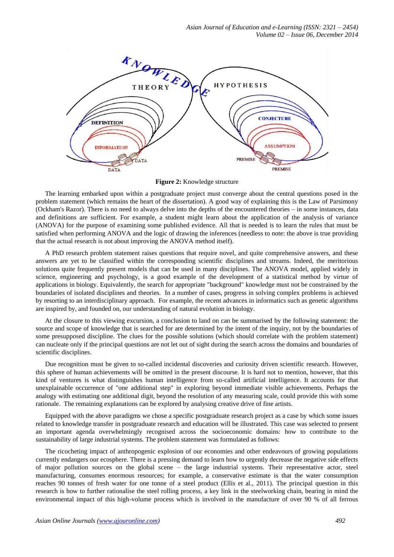

**Figure 2:** Knowledge structure

The learning embarked upon within a postgraduate project must converge about the central questions posed in the problem statement (which remains the heart of the dissertation). A good way of explaining this is the Law of Parsimony (Ockham's Razor). There is no need to always delve into the depths of the encountered theories – in some instances, data and definitions are sufficient. For example, a student might learn about the application of the analysis of variance (ANOVA) for the purpose of examining some published evidence. All that is needed is to learn the rules that must be satisfied when performing ANOVA and the logic of drawing the inferences (needless to note: the above is true providing that the actual research is not about improving the ANOVA method itself).

A PhD research problem statement raises questions that require novel, and quite comprehensive answers, and these answers are yet to be classified within the corresponding scientific disciplines and streams. Indeed, the meritorious solutions quite frequently present models that can be used in many disciplines. The ANOVA model, applied widely in science, engineering and psychology, is a good example of the development of a statistical method by virtue of applications in biology. Equivalently, the search for appropriate "background" knowledge must not be constrained by the boundaries of isolated disciplines and theories. In a number of cases, progress in solving complex problems is achieved by resorting to an interdisciplinary approach. For example, the recent advances in informatics such as genetic algorithms are inspired by, and founded on, our understanding of natural evolution in biology.

At the closure to this viewing excursion, a conclusion to land on can be summarised by the following statement: the source and scope of knowledge that is searched for are determined by the intent of the inquiry, not by the boundaries of some presupposed discipline. The clues for the possible solutions (which should correlate with the problem statement) can nucleate only if the principal questions are not let out of sight during the search across the domains and boundaries of scientific disciplines.

Due recognition must be given to so-called incidental discoveries and curiosity driven scientific research. However, this sphere of human achievements will be omitted in the present discourse. It is hard not to mention, however, that this kind of ventures is what distinguishes human intelligence from so-called artificial intelligence. It accounts for that unexplainable occurrence of "one additional step" in exploring beyond immediate visible achievements. Perhaps the analogy with estimating one additional digit, beyond the resolution of any measuring scale, could provide this with some rationale. The remaining explanations can be explored by analysing creative drive of fine artists.

Equipped with the above paradigms we chose a specific postgraduate research project as a case by which some issues related to knowledge transfer in postgraduate research and education will be illustrated. This case was selected to present an important agenda overwhelmingly recognised across the socioeconomic domains: how to contribute to the sustainability of large industrial systems. The problem statement was formulated as follows:

The ricocheting impact of anthropogenic explosion of our economies and other endeavours of growing populations currently endangers our ecosphere. There is a pressing demand to learn how to urgently decrease the negative side effects of major pollution sources on the global scene – the large industrial systems. Their representative actor, steel manufacturing, consumes enormous resources; for example, a conservative estimate is that the water consumption reaches 90 tonnes of fresh water for one tonne of a steel product (Ellis et al., 2011). The principal question in this research is how to further rationalise the steel rolling process, a key link in the steelworking chain, bearing in mind the environmental impact of this high-volume process which is involved in the manufacture of over 90 % of all ferrous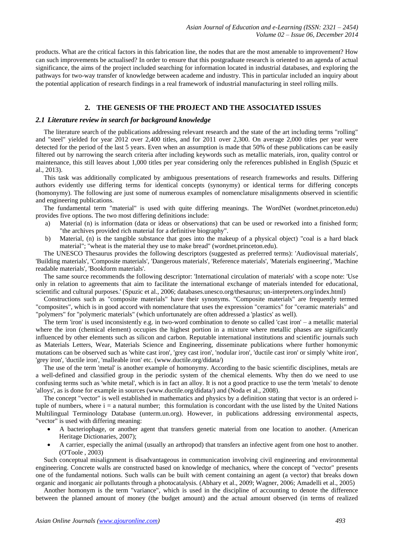products. What are the critical factors in this fabrication line, the nodes that are the most amenable to improvement? How can such improvements be actualised? In order to ensure that this postgraduate research is oriented to an agenda of actual significance, the aims of the project included searching for information located in industrial databases, and exploring the pathways for two-way transfer of knowledge between academe and industry. This in particular included an inquiry about the potential application of research findings in a real framework of industrial manufacturing in steel rolling mills.

# **2. THE GENESIS OF THE PROJECT AND THE ASSOCIATED ISSUES**

#### *2.1 Literature review in search for background knowledge*

The literature search of the publications addressing relevant research and the state of the art including terms "rolling" and "steel" yielded for year 2012 over 2,400 titles, and for 2011 over 2,300. On average 2,000 titles per year were detected for the period of the last 5 years. Even when an assumption is made that 50% of these publications can be easily filtered out by narrowing the search criteria after including keywords such as metallic materials, iron, quality control or maintenance, this still leaves about 1,000 titles per year considering only the references published in English (Spuzic et al., 2013).

This task was additionally complicated by ambiguous presentations of research frameworks and results. Differing authors evidently use differing terms for identical concepts (synonymy) or identical terms for differing concepts (homonymy). The following are just some of numerous examples of nomenclature misalignments observed in scientific and engineering publications.

The fundamental term "material" is used with quite differing meanings. The WordNet (wordnet.princeton.edu) provides five options. The two most differing definitions include:

- a) Material (n) is information (data or ideas or observations) that can be used or reworked into a finished form; "the archives provided rich material for a definitive biography".
- b) Material, (n) is the tangible substance that goes into the makeup of a physical object) "coal is a hard black material"; "wheat is the material they use to make bread" (wordnet.princeton.edu).

The UNESCO Thesaurus provides the following descriptors (suggested as preferred terms): 'Audiovisual materials', 'Building materials', 'Composite materials', 'Dangerous materials', 'Reference materials', 'Materials engineering', 'Machine readable materials', 'Bookform materials'.

The same source recommends the following descriptor: 'International circulation of materials' with a scope note: 'Use only in relation to agreements that aim to facilitate the international exchange of materials intended for educational, scientific and cultural purposes.' (Spuzic et al., 2006; databases.unesco.org/thesaurus; un-interpreters.org/index.html)

Constructions such as "composite materials" have their synonyms. "Composite materials" are frequently termed "composites", which is in good accord with nomenclature that uses the expression "ceramics" for "ceramic materials" and "polymers" for "polymeric materials" (which unfortunately are often addressed a 'plastics' as well).

The term 'iron' is used inconsistently e.g. in two-word combination to denote so called 'cast iron' – a metallic material where the iron (chemical element) occupies the highest portion in a mixture where metallic phases are significantly influenced by other elements such as silicon and carbon. Reputable international institutions and scientific journals such as Materials Letters, Wear, Materials Science and Engineering, disseminate publications where further homonymic mutations can be observed such as 'white cast iron', 'grey cast iron', 'nodular iron', 'ductile cast iron' or simply 'white iron', 'grey iron', 'ductile iron', 'malleable iron' etc. (www.ductile.org/didata/)

The use of the term 'metal' is another example of homonymy. According to the basic scientific disciplines, metals are a well-defined and classified group in the periodic system of the chemical elements. Why then do we need to use confusing terms such as 'white metal', which is in fact an alloy. It is not a good practice to use the term 'metals' to denote 'alloys', as is done for example in sources (www.ductile.org/didata/) and (Noda et al., 2008).

The concept "vector" is well established in mathematics and physics by a definition stating that vector is an ordered ituple of numbers, where  $i = a$  natural number; this formulation is concordant with the use listed by the United Nations Multilingual Terminology Database (unterm.un.org). However, in publications addressing environmental aspects, "vector" is used with differing meaning:

- A bacteriophage, or another agent that transfers genetic material from one location to another. (American Heritage Dictionaries, 2007);
- A carrier, especially the animal (usually an arthropod) that transfers an infective agent from one host to another. (O'Toole , 2003)

Such conceptual misalignment is disadvantageous in communication involving civil engineering and environmental engineering. Concrete walls are constructed based on knowledge of mechanics, where the concept of "vector" presents one of the fundamental notions. Such walls can be built with cement containing an agent (a vector) that breaks down organic and inorganic air pollutants through a photocatalysis. (Abhary et al., 2009; Wagner, 2006; Amadelli et al., 2005)

Another homonym is the term "variance", which is used in the discipline of accounting to denote the difference between the planned amount of money (the budget amount) and the actual amount observed (in terms of realized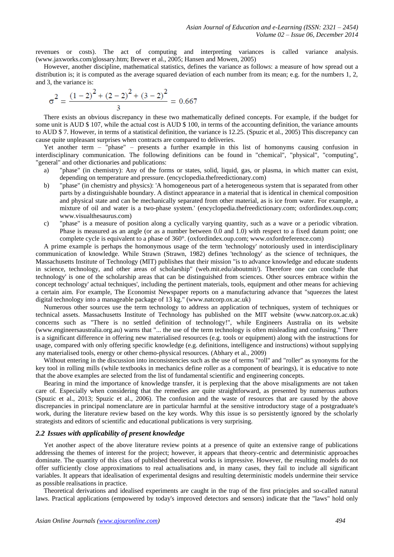revenues or costs). The act of computing and interpreting variances is called variance analysis. (www.jaxworks.com/glossary.htm; Brewer et al., 2005; Hansen and Mowen, 2005)

However, another discipline, mathematical statistics, defines the variance as follows: a measure of how spread out a distribution is; it is computed as the average squared deviation of each number from its mean; e.g. for the numbers 1, 2, and 3, the variance is:

$$
\sigma^{2} = \frac{(1-2)^{2} + (2-2)^{2} + (3-2)^{2}}{3} = 0.667
$$

There exists an obvious discrepancy in these two mathematically defined concepts. For example, if the budget for some unit is AUD \$ 107, while the actual cost is AUD \$ 100, in terms of the accounting definition, the variance amounts to AUD \$ 7. However, in terms of a statistical definition, the variance is 12.25. (Spuzic et al., 2005) This discrepancy can cause quite unpleasant surprises when contracts are compared to deliveries.

Yet another term – "phase" – presents a further example in this list of homonyms causing confusion in interdisciplinary communication. The following definitions can be found in "chemical", "physical", "computing", "general" and other dictionaries and publications:

- a) "phase" (in chemistry): Any of the forms or states, solid, liquid, gas, or plasma, in which matter can exist, depending on temperature and pressure. (encyclopedia.thefreedictionary.com)
- b) "phase" (in chemistry and physics): 'A homogeneous part of a heterogeneous system that is separated from other parts by a distinguishable boundary. A distinct appearance in a material that is identical in chemical composition and physical state and can be mechanically separated from other material, as is ice from water. For example, a mixture of oil and water is a two-phase system.' (encyclopedia.thefreedictionary.com; oxfordindex.oup.com; www.visualthesaurus.com)
- c) "phase" is a measure of position along a cyclically varying quantity, such as a wave or a periodic vibration. Phase is measured as an angle (or as a number between 0.0 and 1.0) with respect to a fixed datum point; one complete cycle is equivalent to a phase of 360°. (oxfordindex.oup.com; www.oxfordreference.com)

A prime example is perhaps the homonymous usage of the term 'technology' notoriously used in interdisciplinary communication of knowledge. While Strawn (Strawn, 1982) defines 'technology' as the science of techniques, the Massachusetts Institute of Technology (MIT) publishes that their mission "is to advance knowledge and educate students in science, technology, and other areas of scholarship" (web.mit.edu/aboutmit/). Therefore one can conclude that technology' is one of the scholarship areas that can be distinguished from sciences. Other sources embrace within the concept technology' actual techniques', including the pertinent materials, tools, equipment and other means for achieving a certain aim. For example, The Economist Newspaper reports on a manufacturing advance that "squeezes the latest digital technology into a manageable package of 13 kg." (www.natcorp.ox.ac.uk)

Numerous other sources use the term technology to address an application of techniques, system of techniques or technical assets. Massachusetts Institute of Technology has published on the MIT website (www.natcorp.ox.ac.uk) concerns such as "There is no settled definition of technology!", while Engineers Australia on its website (www.engineersaustralia.org.au) warns that "... the use of the term technology is often misleading and confusing." There is a significant difference in offering new materialised resources (e.g. tools or equipment) along with the instructions for usage, compared with only offering specific knowledge (e.g. definitions, intelligence and instructions) without supplying any materialised tools, energy or other chemo-physical resources. (Abhary et al., 2009)

Without entering in the discussion into inconsistencies such as the use of terms "roll" and "roller" as synonyms for the key tool in rolling mills (while textbooks in mechanics define roller as a component of bearings), it is educative to note that the above examples are selected from the list of fundamental scientific and engineering concepts.

Bearing in mind the importance of knowledge transfer, it is perplexing that the above misalignments are not taken care of. Especially when considering that the remedies are quite straightforward, as presented by numerous authors (Spuzic et al., 2013; Spuzic et al., 2006). The confusion and the waste of resources that are caused by the above discrepancies in principal nomenclature are in particular harmful at the sensitive introductory stage of a postgraduate's work, during the literature review based on the key words. Why this issue is so persistently ignored by the scholarly strategists and editors of scientific and educational publications is very surprising.

## *2.2 Issues with applicability of present knowledge*

Yet another aspect of the above literature review points at a presence of quite an extensive range of publications addressing the themes of interest for the project; however, it appears that theory-centric and deterministic approaches dominate. The quantity of this class of published theoretical works is impressive. However, the resulting models do not offer sufficiently close approximations to real actualisations and, in many cases, they fail to include all significant variables. It appears that idealisation of experimental designs and resulting deterministic models undermine their service as possible realisations in practice.

Theoretical derivations and idealised experiments are caught in the trap of the first principles and so-called natural laws. Practical applications (empowered by today's improved detectors and sensors) indicate that the "laws" hold only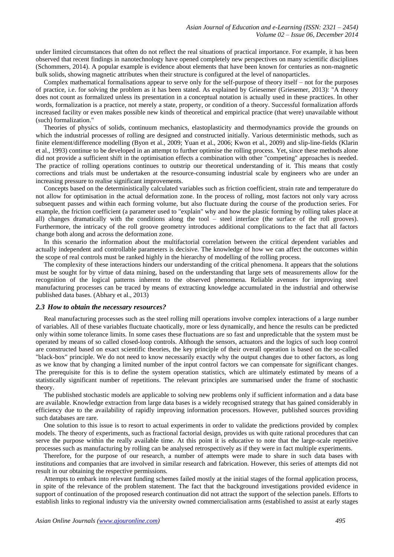under limited circumstances that often do not reflect the real situations of practical importance. For example, it has been observed that recent findings in nanotechnology have opened completely new perspectives on many scientific disciplines (Schommers, 2014). A popular example is evidence about elements that have been known for centuries as non-magnetic bulk solids, showing magnetic attributes when their structure is configured at the level of nanoparticles.

Complex mathematical formalisations appear to serve only for the self-purpose of theory itself – not for the purposes of practice, i.e. for solving the problem as it has been stated. As explained by Griesemer (Griesemer, 2013): "A theory does not count as formalized unless its presentation in a conceptual notation is actually used in these practices. In other words, formalization is a practice, not merely a state, property, or condition of a theory. Successful formalization affords increased facility or even makes possible new kinds of theoretical and empirical practice (that were) unavailable without (such) formalization."

Theories of physics of solids, continuum mechanics, elastoplasticity and thermodynamics provide the grounds on which the industrial processes of rolling are designed and constructed initially. Various deterministic methods, such as finite element/difference modelling (Byon et al., 2009; Yuan et al., 2006; Kwon et al., 2009) and slip-line-fields (Klarin et al., 1993) continue to be developed in an attempt to further optimise the rolling process. Yet, since these methods alone did not provide a sufficient shift in the optimisation effects a combination with other "competing" approaches is needed. The practice of rolling operations continues to outstrip our theoretical understanding of it. This means that costly corrections and trials must be undertaken at the resource-consuming industrial scale by engineers who are under an increasing pressure to realise significant improvements.

Concepts based on the deterministically calculated variables such as friction coefficient, strain rate and temperature do not allow for optimisation in the actual deformation zone. In the process of rolling, most factors not only vary across subsequent passes and within each forming volume, but also fluctuate during the course of the production series. For example, the friction coefficient (a parameter used to "explain" why and how the plastic forming by rolling takes place at all) changes dramatically with the conditions along the tool – steel interface (the surface of the roll grooves). Furthermore, the intricacy of the roll groove geometry introduces additional complications to the fact that all factors change both along and across the deformation zone.

In this scenario the information about the multifactorial correlation between the critical dependent variables and actually independent and controllable parameters is decisive. The knowledge of how we can affect the outcomes within the scope of real controls must be ranked highly in the hierarchy of modelling of the rolling process.

The complexity of these interactions hinders our understanding of the critical phenomena. It appears that the solutions must be sought for by virtue of data mining, based on the understanding that large sets of measurements allow for the recognition of the logical patterns inherent to the observed phenomena. Reliable avenues for improving steel manufacturing processes can be traced by means of extracting knowledge accumulated in the industrial and otherwise published data bases. (Abhary et al., 2013)

#### *2.3 How to obtain the necessary resources?*

Real manufacturing processes such as the steel rolling mill operations involve complex interactions of a large number of variables. All of these variables fluctuate chaotically, more or less dynamically, and hence the results can be predicted only within some tolerance limits. In some cases these fluctuations are so fast and unpredictable that the system must be operated by means of so called closed-loop controls. Although the sensors, actuators and the logics of such loop control are constructed based on exact scientific theories, the key principle of their overall operation is based on the so-called "black-box" principle. We do not need to know necessarily exactly why the output changes due to other factors, as long as we know that by changing a limited number of the input control factors we can compensate for significant changes. The prerequisite for this is to define the system operation statistics, which are ultimately estimated by means of a statistically significant number of repetitions. The relevant principles are summarised under the frame of stochastic theory.

The published stochastic models are applicable to solving new problems only if sufficient information and a data base are available. Knowledge extraction from large data bases is a widely recognised strategy that has gained considerably in efficiency due to the availability of rapidly improving information processors. However, published sources providing such databases are rare.

One solution to this issue is to resort to actual experiments in order to validate the predictions provided by complex models. The theory of experiments, such as fractional factorial design, provides us with quite rational procedures that can serve the purpose within the really available time. At this point it is educative to note that the large-scale repetitive processes such as manufacturing by rolling can be analysed retrospectively as if they were in fact multiple experiments.

Therefore, for the purpose of our research, a number of attempts were made to share in such data bases with institutions and companies that are involved in similar research and fabrication. However, this series of attempts did not result in our obtaining the respective permissions.

Attempts to embark into relevant funding schemes failed mostly at the initial stages of the formal application process, in spite of the relevance of the problem statement. The fact that the background investigations provided evidence in support of continuation of the proposed research continuation did not attract the support of the selection panels. Efforts to establish links to regional industry via the university owned commercialisation arms (established to assist at early stages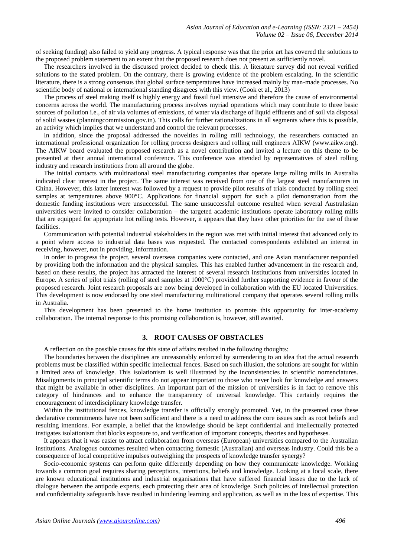of seeking funding) also failed to yield any progress. A typical response was that the prior art has covered the solutions to the proposed problem statement to an extent that the proposed research does not present as sufficiently novel.

The researchers involved in the discussed project decided to check this. A literature survey did not reveal verified solutions to the stated problem. On the contrary, there is growing evidence of the problem escalating. In the scientific literature, there is a strong consensus that global surface temperatures have increased mainly by man-made processes. No scientific body of national or international standing disagrees with this view. (Cook et al., 2013)

The process of steel making itself is highly energy and fossil fuel intensive and therefore the cause of environmental concerns across the world. The manufacturing process involves myriad operations which may contribute to three basic sources of pollution i.e., of air via volumes of emissions, of water via discharge of liquid effluents and of soil via disposal of solid wastes (planningcommission.gov.in). This calls for further rationalizations in all segments where this is possible, an activity which implies that we understand and control the relevant processes.

In addition, since the proposal addressed the novelties in rolling mill technology, the researchers contacted an international professional organization for rolling process designers and rolling mill engineers AIKW (www.aikw.org). The AIKW board evaluated the proposed research as a novel contribution and invited a lecture on this theme to be presented at their annual international conference. This conference was attended by representatives of steel rolling industry and research institutions from all around the globe.

The initial contacts with multinational steel manufacturing companies that operate large rolling mills in Australia indicated clear interest in the project. The same interest was received from one of the largest steel manufacturers in China. However, this latter interest was followed by a request to provide pilot results of trials conducted by rolling steel samples at temperatures above 900°C. Applications for financial support for such a pilot demonstration from the domestic funding institutions were unsuccessful. The same unsuccessful outcome resulted when several Australasian universities were invited to consider collaboration – the targeted academic institutions operate laboratory rolling mills that are equipped for appropriate hot rolling tests. However, it appears that they have other priorities for the use of these facilities.

Communication with potential industrial stakeholders in the region was met with initial interest that advanced only to a point where access to industrial data bases was requested. The contacted correspondents exhibited an interest in receiving, however, not in providing, information.

In order to progress the project, several overseas companies were contacted, and one Asian manufacturer responded by providing both the information and the physical samples. This has enabled further advancement in the research and, based on these results, the project has attracted the interest of several research institutions from universities located in Europe. A series of pilot trials (rolling of steel samples at 1000°C) provided further supporting evidence in favour of the proposed research. Joint research proposals are now being developed in collaboration with the EU located Universities. This development is now endorsed by one steel manufacturing multinational company that operates several rolling mills in Australia.

This development has been presented to the home institution to promote this opportunity for inter-academy collaboration. The internal response to this promising collaboration is, however, still awaited.

# **3. ROOT CAUSES OF OBSTACLES**

A reflection on the possible causes for this state of affairs resulted in the following thoughts:

The boundaries between the disciplines are unreasonably enforced by surrendering to an idea that the actual research problems must be classified within specific intellectual fences. Based on such illusion, the solutions are sought for within a limited area of knowledge. This isolationism is well illustrated by the inconsistencies in scientific nomenclatures. Misalignments in principal scientific terms do not appear important to those who never look for knowledge and answers that might be available in other disciplines. An important part of the mission of universities is in fact to remove this category of hindrances and to enhance the transparency of universal knowledge. This certainly requires the encouragement of interdisciplinary knowledge transfer.

Within the institutional fences, knowledge transfer is officially strongly promoted. Yet, in the presented case these declarative commitments have not been sufficient and there is a need to address the core issues such as root beliefs and resulting intentions. For example, a belief that the knowledge should be kept confidential and intellectually protected instigates isolationism that blocks exposure to, and verification of important concepts, theories and hypotheses.

It appears that it was easier to attract collaboration from overseas (European) universities compared to the Australian institutions. Analogous outcomes resulted when contacting domestic (Australian) and overseas industry. Could this be a consequence of local competitive impulses outweighing the prospects of knowledge transfer synergy?

Socio-economic systems can perform quite differently depending on how they communicate knowledge. Working towards a common goal requires sharing perceptions, intentions, beliefs and knowledge. Looking at a local scale, there are known educational institutions and industrial organisations that have suffered financial losses due to the lack of dialogue between the antipode experts, each protecting their area of knowledge. Such policies of intellectual protection and confidentiality safeguards have resulted in hindering learning and application, as well as in the loss of expertise. This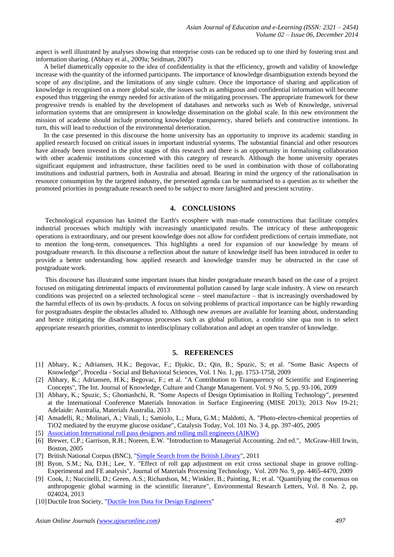aspect is well illustrated by analyses showing that enterprise costs can be reduced up to one third by fostering trust and information sharing. (Abhary et al., 2009a; Seidman, 2007)

A belief diametrically opposite to the idea of confidentiality is that the efficiency, growth and validity of knowledge increase with the quantity of the informed participants. The importance of knowledge disambiguation extends beyond the scope of any discipline, and the limitations of any single culture. Once the importance of sharing and application of knowledge is recognised on a more global scale, the issues such as ambiguous and confidential information will become exposed thus triggering the energy needed for activation of the mitigating processes. The appropriate framework for these progressive trends is enabled by the development of databases and networks such as Web of Knowledge, universal information systems that are omnipresent in knowledge dissemination on the global scale. In this new environment the mission of academe should include promoting knowledge transparency, shared beliefs and constructive intentions. In turn, this will lead to reduction of the environmental deterioration.

In the case presented in this discourse the home university has an opportunity to improve its academic standing in applied research focused on critical issues in important industrial systems. The substantial financial and other resources have already been invested in the pilot stages of this research and there is an opportunity in formalising collaboration with other academic institutions concerned with this category of research. Although the home university operates significant equipment and infrastructure, these facilities need to be used in combination with those of collaborating institutions and industrial partners, both in Australia and abroad. Bearing in mind the urgency of the rationalisation in resource consumption by the targeted industry, the presented agenda can be summarised to a question as to whether the promoted priorities in postgraduate research need to be subject to more farsighted and prescient scrutiny.

# **4. CONCLUSIONS**

Technological expansion has knitted the Earth's ecosphere with man-made constructions that facilitate complex industrial processes which multiply with increasingly unanticipated results. The intricacy of these anthropogenic operations is extraordinary, and our present knowledge does not allow for confident predictions of certain immediate, not to mention the long-term, consequences. This highlights a need for expansion of our knowledge by means of postgraduate research. In this discourse a reflection about the nature of knowledge itself has been introduced in order to provide a better understanding how applied research and knowledge transfer may be obstructed in the case of postgraduate work.

This discourse has illustrated some important issues that hinder postgraduate research based on the case of a project focused on mitigating detrimental impacts of environmental pollution caused by large scale industry. A view on research conditions was projected on a selected technological scene – steel manufacture – that is increasingly overshadowed by the harmful effects of its own by-products. A focus on solving problems of practical importance can be highly rewarding for postgraduates despite the obstacles alluded to. Although new avenues are available for learning about, understanding and hence mitigating the disadvantageous processes such as global pollution, a conditio sine qua non is to select appropriate research priorities, commit to interdisciplinary collaboration and adopt an open transfer of knowledge.

#### **5. REFERENCES**

- [1] Abhary, K.; Adriansen, H.K.; Begovac, F.; Djukic, D.; Qin, B.; Spuzic, S; et al. "Some Basic Aspects of Knowledge", Procedia - Social and Behavioral Sciences, Vol. 1 No. 1, pp. 1753-1758, 2009
- [2] Abhary, K.; Adriansen, H.K.; Begovac, F.; et al. "A Contribution to Transparency of Scientific and Engineering Concepts", The Int. Journal of Knowledge, Culture and Change Management. Vol. 9 No. 5, pp. 93-106, 2009
- [3] Abhary, K.; Spuzic, S.; Ghomashchi, R. "Some Aspects of Design Optimisation in Rolling Technology", presented at the International Conference Materials Innovation in Surface Engineering (MISE 2013); 2013 Nov 19-21; Adelaide: Australia, Materials Australia, 2013
- [4] Amadelli, R.; Molinari, A.; Vitali, I.; Samiolo, L.; Mura, G.M.; Maldotti, A. "Photo-electro-chemical properties of TiO2 mediated by the enzyme glucose oxidase", Catalysis Today, Vol. 101 No. 3 4, pp. 397-405, 2005
- [5] [Association International roll pass designers and rolling mill engineers \(AIKW\)](http://www.aikw.org/)
- [6] Brewer, C.P.; Garrison, R.H.; Noreen, E.W. "Introduction to Managerial Accounting. 2nd ed.", McGraw-Hill Irwin, Boston, 2005
- [7] British National Corpus (BNC), ["Simple Search from the British Library"](http://www.natcorp.ox.ac.uk/), 2011
- [8] Byon, S.M.; Na, D.H.; Lee, Y. "Effect of roll gap adjustment on exit cross sectional shape in groove rolling-Experimental and FE analysis", Journal of Materials Processing Technology, Vol. 209 No. 9, pp. 4465-4470, 2009
- [9] Cook, J.; Nuccitelli, D.; Green, A.S.; Richardson, M.; Winkler, B.; Painting, R.; et al. "Quantifying the consensus on anthropogenic global warming in the scientific literature", Environmental Research Letters, Vol. 8 No. 2, pp. 024024, 2013
- [10] Ductile Iron Society, ["Ductile Iron Data for Design Engineers"](http://www.ductile.org/didata/)